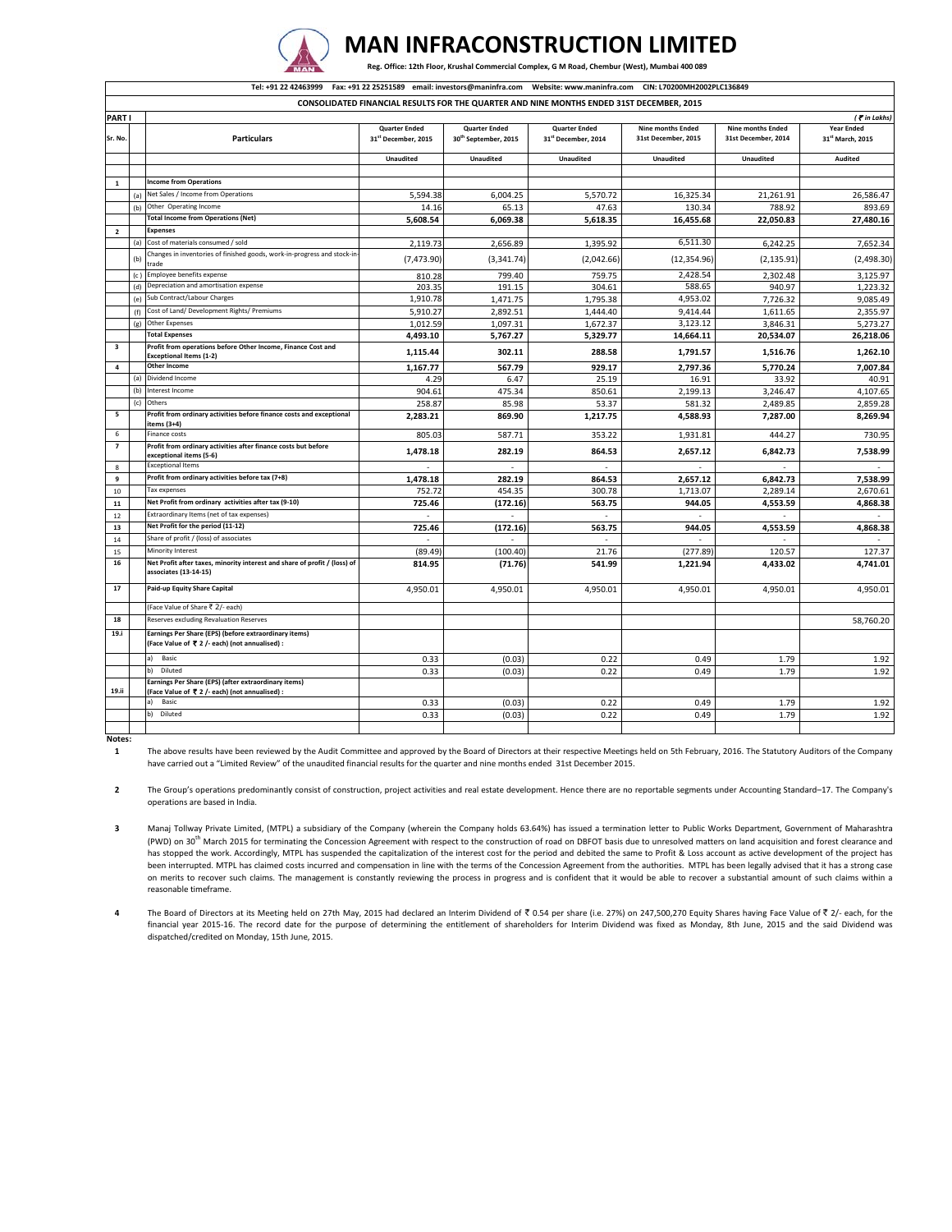

## **MAN INFRACONSTRUCTION LIMITED**

Reg. Office: 12th Floor, Krushal Commercial Complex, G M Road, Chembur (West), Mumbai 400 089

|                         | Tel: +91 22 42463999 Fax: +91 22 25251589 email: investors@maninfra.com Website: www.maninfra.com CIN: L70200MH2002PLC136849 |                                                                                                         |                                            |                                             |                                            |                                                 |                                                 |                                                   |  |  |  |  |  |
|-------------------------|------------------------------------------------------------------------------------------------------------------------------|---------------------------------------------------------------------------------------------------------|--------------------------------------------|---------------------------------------------|--------------------------------------------|-------------------------------------------------|-------------------------------------------------|---------------------------------------------------|--|--|--|--|--|
|                         | CONSOLIDATED FINANCIAL RESULTS FOR THE QUARTER AND NINE MONTHS ENDED 31ST DECEMBER, 2015                                     |                                                                                                         |                                            |                                             |                                            |                                                 |                                                 |                                                   |  |  |  |  |  |
| PART I                  |                                                                                                                              |                                                                                                         |                                            |                                             |                                            |                                                 |                                                 | ( <i>C</i> in Lakhs)                              |  |  |  |  |  |
| Sr. No                  |                                                                                                                              | <b>Particulars</b>                                                                                      | <b>Quarter Ended</b><br>31" December, 2015 | <b>Quarter Ended</b><br>30" September, 2015 | <b>Quarter Ended</b><br>31" December, 2014 | <b>Nine months Ended</b><br>31st December, 2015 | <b>Nine months Ended</b><br>31st December, 2014 | <b>Year Ended</b><br>31 <sup>st</sup> March, 2015 |  |  |  |  |  |
|                         |                                                                                                                              |                                                                                                         | <b>Unaudited</b>                           | Unaudited                                   | Unaudited                                  | Unaudited                                       | Unaudited                                       | Audited                                           |  |  |  |  |  |
|                         |                                                                                                                              |                                                                                                         |                                            |                                             |                                            |                                                 |                                                 |                                                   |  |  |  |  |  |
| $\mathbf{1}$            |                                                                                                                              | <b>Income from Operations</b>                                                                           |                                            |                                             |                                            |                                                 |                                                 |                                                   |  |  |  |  |  |
|                         | (a)                                                                                                                          | Net Sales / Income from Operations                                                                      | 5,594.38                                   | 6,004.25                                    | 5,570.72                                   | 16,325.34                                       | 21,261.91                                       | 26,586.47                                         |  |  |  |  |  |
|                         | (b)                                                                                                                          | Other Operating Income                                                                                  | 14.16                                      | 65.13                                       | 47.63                                      | 130.34                                          | 788.92                                          | 893.69                                            |  |  |  |  |  |
|                         |                                                                                                                              | <b>Total Income from Operations (Net)</b>                                                               | 5,608.54                                   | 6,069.38                                    | 5,618.35                                   | 16,455.68                                       | 22,050.83                                       | 27,480.16                                         |  |  |  |  |  |
| $\overline{\mathbf{2}}$ |                                                                                                                              | <b>Expenses</b>                                                                                         |                                            |                                             |                                            |                                                 |                                                 |                                                   |  |  |  |  |  |
|                         | (a)                                                                                                                          | Cost of materials consumed / sold                                                                       | 2.119.73                                   | 2,656.89                                    | 1,395.92                                   | 6,511.30                                        | 6,242.25                                        | 7,652.34                                          |  |  |  |  |  |
|                         | (b)                                                                                                                          | Changes in inventories of finished goods, work-in-progress and stock-in<br>trade                        | (7, 473.90)                                | (3, 341.74)                                 | (2,042.66)                                 | (12, 354.96)                                    | (2, 135.91)                                     | (2,498.30)                                        |  |  |  |  |  |
|                         | (c)                                                                                                                          | Employee benefits expense                                                                               | 810.28                                     | 799.40                                      | 759.75                                     | 2,428.54                                        | 2,302.48                                        | 3,125.97                                          |  |  |  |  |  |
|                         | (d)                                                                                                                          | Depreciation and amortisation expense                                                                   | 203.35                                     | 191.15                                      | 304.61                                     | 588.65                                          | 940.97                                          | 1,223.32                                          |  |  |  |  |  |
|                         | (e)                                                                                                                          | Sub Contract/Labour Charges                                                                             | 1.910.78                                   | 1,471.75                                    | 1,795.38                                   | 4,953.02                                        | 7.726.32                                        | 9,085.49                                          |  |  |  |  |  |
|                         | (f)                                                                                                                          | Cost of Land/ Development Rights/ Premiums                                                              | 5,910.27                                   | 2,892.51                                    | 1,444.40                                   | 9,414.44                                        | 1,611.65                                        | 2,355.97                                          |  |  |  |  |  |
|                         | (g)                                                                                                                          | Other Expenses                                                                                          | 1.012.59                                   | 1,097.31                                    | 1,672.37                                   | 3,123.12                                        | 3,846.31                                        | 5,273.27                                          |  |  |  |  |  |
|                         |                                                                                                                              | <b>Total Expenses</b>                                                                                   | 4,493.10                                   | 5,767.27                                    | 5,329.77                                   | 14,664.11                                       | 20,534.07                                       | 26,218.06                                         |  |  |  |  |  |
| 3                       |                                                                                                                              | Profit from operations before Other Income, Finance Cost and<br>Exceptional Items (1-2)                 | 1,115.44                                   | 302.11                                      | 288.58                                     | 1.791.57                                        | 1,516.76                                        | 1.262.10                                          |  |  |  |  |  |
| $\overline{4}$          |                                                                                                                              | Other Income                                                                                            | 1,167.77                                   | 567.79                                      | 929.17                                     | 2,797.36                                        | 5,770.24                                        | 7,007.84                                          |  |  |  |  |  |
|                         | (a)                                                                                                                          | Dividend Income                                                                                         | 4.29                                       | 6.47                                        | 25.19                                      | 16.91                                           | 33.92                                           | 40.91                                             |  |  |  |  |  |
|                         | (b)                                                                                                                          | Interest Income                                                                                         | 904.61                                     | 475.34                                      | 850.61                                     | 2,199.13                                        | 3,246.47                                        | 4.107.65                                          |  |  |  |  |  |
|                         | (c)                                                                                                                          | Others                                                                                                  | 258.87                                     | 85.98                                       | 53.37                                      | 581.32                                          | 2,489.85                                        | 2,859.28                                          |  |  |  |  |  |
| 5                       |                                                                                                                              | Profit from ordinary activities before finance costs and exceptional<br>items (3+4)                     | 2,283.21                                   | 869.90                                      | 1,217.75                                   | 4,588.93                                        | 7,287.00                                        | 8.269.94                                          |  |  |  |  |  |
| 6                       |                                                                                                                              | Finance costs                                                                                           | 805.03                                     | 587.71                                      | 353.22                                     | 1,931.81                                        | 444.27                                          | 730.95                                            |  |  |  |  |  |
| $\overline{z}$          |                                                                                                                              | Profit from ordinary activities after finance costs but before<br>exceptional items (5-6)               | 1,478.18                                   | 282.19                                      | 864.53                                     | 2,657.12                                        | 6,842.73                                        | 7,538.99                                          |  |  |  |  |  |
| 8                       |                                                                                                                              | <b>Exceptional Items</b><br>Profit from ordinary activities before tax (7+8)                            |                                            | $\overline{a}$                              | ٠                                          | ÷.                                              |                                                 |                                                   |  |  |  |  |  |
| 9                       |                                                                                                                              | Tax expenses                                                                                            | 1.478.18                                   | 282.19                                      | 864.53                                     | 2.657.12                                        | 6.842.73                                        | 7.538.99                                          |  |  |  |  |  |
| 10                      |                                                                                                                              | Net Profit from ordinary activities after tax (9-10)                                                    | 752.72                                     | 454.35                                      | 300.78                                     | 1,713.07                                        | 2,289.14                                        | 2,670.61                                          |  |  |  |  |  |
| $11\,$                  |                                                                                                                              | Extraordinary Items (net of tax expenses)                                                               | 725.46                                     | (172.16)                                    | 563.75                                     | 944.05                                          | 4,553.59                                        | 4,868.38                                          |  |  |  |  |  |
| 12                      |                                                                                                                              | Net Profit for the period (11-12)                                                                       |                                            |                                             | ٠                                          |                                                 |                                                 |                                                   |  |  |  |  |  |
| 13<br>14                |                                                                                                                              | Share of profit / (loss) of associates                                                                  | 725.46                                     | (172.16)                                    | 563.75                                     | 944.05                                          | 4,553.59                                        | 4,868.38                                          |  |  |  |  |  |
| 15                      |                                                                                                                              | Minority Interest                                                                                       | (89.49)                                    | (100.40)                                    | 21.76                                      | (277.89)                                        | 120.57                                          | 127.37                                            |  |  |  |  |  |
| 16                      |                                                                                                                              | Net Profit after taxes, minority interest and share of profit / (loss) of<br>associates (13-14-15)      | 814.95                                     | (71.76)                                     | 541.99                                     | 1,221.94                                        | 4,433.02                                        | 4,741.01                                          |  |  |  |  |  |
| 17                      |                                                                                                                              | Paid-up Equity Share Capital                                                                            | 4,950.01                                   | 4,950.01                                    | 4,950.01                                   | 4,950.01                                        | 4,950.01                                        | 4,950.01                                          |  |  |  |  |  |
|                         |                                                                                                                              | (Face Value of Share ₹ 2/- each)                                                                        |                                            |                                             |                                            |                                                 |                                                 |                                                   |  |  |  |  |  |
| 18                      |                                                                                                                              | Reserves excluding Revaluation Reserves                                                                 |                                            |                                             |                                            |                                                 |                                                 | 58,760.20                                         |  |  |  |  |  |
| 19.i                    |                                                                                                                              | Earnings Per Share (EPS) (before extraordinary items)<br>(Face Value of ₹ 2 /- each) (not annualised) : |                                            |                                             |                                            |                                                 |                                                 |                                                   |  |  |  |  |  |
|                         |                                                                                                                              | Basic<br>a)                                                                                             | 0.33                                       | (0.03)                                      | 0.22                                       | 0.49                                            | 1.79                                            | 1.92                                              |  |  |  |  |  |
|                         |                                                                                                                              | b)<br>Diluted                                                                                           | 0.33                                       | (0.03)                                      | 0.22                                       | 0.49                                            | 1.79                                            | 1.92                                              |  |  |  |  |  |
| 19.ii                   |                                                                                                                              | Earnings Per Share (EPS) (after extraordinary items)<br>(Face Value of ₹ 2 /- each) (not annualised) :  |                                            |                                             |                                            |                                                 |                                                 |                                                   |  |  |  |  |  |
|                         |                                                                                                                              | a) Basic                                                                                                | 0.33                                       | (0.03)                                      | 0.22                                       | 0.49                                            | 1.79                                            | 1.92                                              |  |  |  |  |  |
|                         |                                                                                                                              | Diluted<br>b)                                                                                           | 0.33                                       | (0.03)                                      | 0.22                                       | 0.49                                            | 1.79                                            | 1.92                                              |  |  |  |  |  |
|                         |                                                                                                                              |                                                                                                         |                                            |                                             |                                            |                                                 |                                                 |                                                   |  |  |  |  |  |

**Notes: 1**

The above results have been reviewed by the Audit Committee and approved by the Board of Directors at their respective Meetings held on 5th February, 2016. The Statutory Auditors of the Company have carried out a "Limited Review" of the unaudited financial results for the quarter and nine months ended 31st December 2015.

**2** The Group's operations predominantly consist of construction, project activities and real estate development. Hence there are no reportable segments under Accounting Standard–17. The Company's operations are based in India.

**3** Manaj Tollway Private Limited, (MTPL) a subsidiary of the Company (wherein the Company holds 63.64%) has issued a termination letter to Public Works Department, Government of Maharashtra (PWD) on 30<sup>th</sup> March 2015 for terminating the Concession Agreement with respect to the construction of road on DBFOT basis due to unresolved matters on land acquisition and forest clearance and has stopped the work. Accordingly, MTPL has suspended the capitalization of the interest cost for the period and debited the same to Profit & Loss account as active development of the project has been interrupted. MTPL has claimed costs incurred and compensation in line with the terms of the Concession Agreement from the authorities. MTPL has been legally advised that it has a strong case on merits to recover such claims. The management is constantly reviewing the process in progress and is confident that it would be able to recover a substantial amount of such claims within a reasonable timeframe.

**4** The Board of Directors at its Meeting held on 27th May, 2015 had declared an Interim Dividend of ₹0.54 per share (i.e. 27%) on 247,500,270 Equity Shares having Face Value of ₹2/‐ each, for the financial year 2015‐16. The record date for the purpose of determining the entitlement of shareholders for Interim Dividend was fixed as Monday, 8th June, 2015 and the said Dividend was dispatched/credited on Monday, 15th June, 2015.